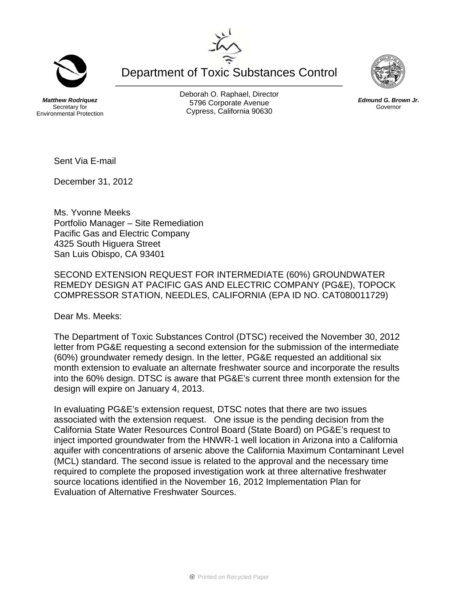Department of Toxic Substances Control

*Matthew Rodriquez*  Secretary for Environmental Protection Deborah O. Raphael, Director 5796 Corporate Avenue Cypress, California 90630



December 31, 2012

Ms. Yvonne Meeks Portfolio Manager – Site Remediation Pacific Gas and Electric Company 4325 South Higuera Street San Luis Obispo, CA 93401

SECOND EXTENSION REQUEST FOR INTERMEDIATE (60%) GROUNDWATER REMEDY DESIGN AT PACIFIC GAS AND ELECTRIC COMPANY (PG&E), TOPOCK COMPRESSOR STATION, NEEDLES, CALIFORNIA (EPA ID NO. CAT080011729)

Dear Ms. Meeks:

The Department of Toxic Substances Control (DTSC) received the November 30, 2012 letter from PG&E requesting a second extension for the submission of the intermediate (60%) groundwater remedy design. In the letter, PG&E requested an additional six month extension to evaluate an alternate freshwater source and incorporate the results into the 60% design. DTSC is aware that PG&E's current three month extension for the design will expire on January 4, 2013.

In evaluating PG&E's extension request, DTSC notes that there are two issues associated with the extension request. One issue is the pending decision from the California State Water Resources Control Board (State Board) on PG&E's request to inject imported groundwater from the HNWR-1 well location in Arizona into a California aquifer with concentrations of arsenic above the California Maximum Contaminant Level (MCL) standard. The second issue is related to the approval and the necessary time required to complete the proposed investigation work at three alternative freshwater source locations identified in the November 16, 2012 Implementation Plan for Evaluation of Alternative Freshwater Sources.





*Edmund G. Brown Jr.*  Governor

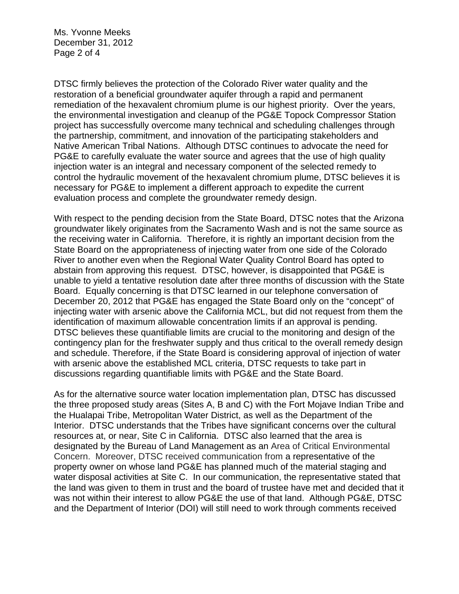Ms. Yvonne Meeks December 31, 2012 Page 2 of 4

DTSC firmly believes the protection of the Colorado River water quality and the restoration of a beneficial groundwater aquifer through a rapid and permanent remediation of the hexavalent chromium plume is our highest priority. Over the years, the environmental investigation and cleanup of the PG&E Topock Compressor Station project has successfully overcome many technical and scheduling challenges through the partnership, commitment, and innovation of the participating stakeholders and Native American Tribal Nations. Although DTSC continues to advocate the need for PG&E to carefully evaluate the water source and agrees that the use of high quality injection water is an integral and necessary component of the selected remedy to control the hydraulic movement of the hexavalent chromium plume, DTSC believes it is necessary for PG&E to implement a different approach to expedite the current evaluation process and complete the groundwater remedy design.

With respect to the pending decision from the State Board, DTSC notes that the Arizona groundwater likely originates from the Sacramento Wash and is not the same source as the receiving water in California. Therefore, it is rightly an important decision from the State Board on the appropriateness of injecting water from one side of the Colorado River to another even when the Regional Water Quality Control Board has opted to abstain from approving this request. DTSC, however, is disappointed that PG&E is unable to yield a tentative resolution date after three months of discussion with the State Board. Equally concerning is that DTSC learned in our telephone conversation of December 20, 2012 that PG&E has engaged the State Board only on the "concept" of injecting water with arsenic above the California MCL, but did not request from them the identification of maximum allowable concentration limits if an approval is pending. DTSC believes these quantifiable limits are crucial to the monitoring and design of the contingency plan for the freshwater supply and thus critical to the overall remedy design and schedule. Therefore, if the State Board is considering approval of injection of water with arsenic above the established MCL criteria, DTSC requests to take part in discussions regarding quantifiable limits with PG&E and the State Board.

As for the alternative source water location implementation plan, DTSC has discussed the three proposed study areas (Sites A, B and C) with the Fort Mojave Indian Tribe and the Hualapai Tribe, Metropolitan Water District, as well as the Department of the Interior. DTSC understands that the Tribes have significant concerns over the cultural resources at, or near, Site C in California. DTSC also learned that the area is designated by the Bureau of Land Management as an Area of Critical Environmental Concern. Moreover, DTSC received communication from a representative of the property owner on whose land PG&E has planned much of the material staging and water disposal activities at Site C. In our communication, the representative stated that the land was given to them in trust and the board of trustee have met and decided that it was not within their interest to allow PG&E the use of that land. Although PG&E, DTSC and the Department of Interior (DOI) will still need to work through comments received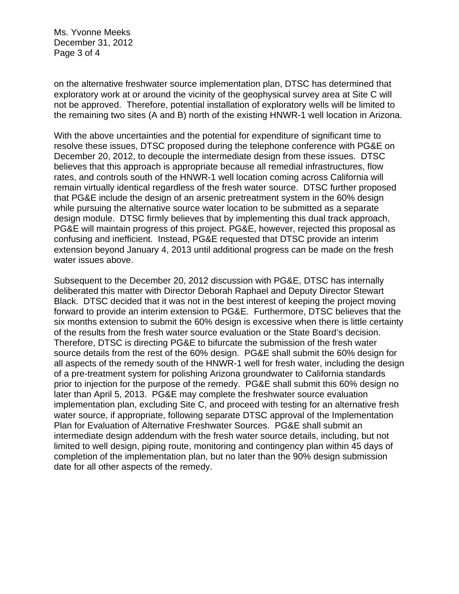Ms. Yvonne Meeks December 31, 2012 Page 3 of 4

on the alternative freshwater source implementation plan, DTSC has determined that exploratory work at or around the vicinity of the geophysical survey area at Site C will not be approved. Therefore, potential installation of exploratory wells will be limited to the remaining two sites (A and B) north of the existing HNWR-1 well location in Arizona.

With the above uncertainties and the potential for expenditure of significant time to resolve these issues, DTSC proposed during the telephone conference with PG&E on December 20, 2012, to decouple the intermediate design from these issues. DTSC believes that this approach is appropriate because all remedial infrastructures, flow rates, and controls south of the HNWR-1 well location coming across California will remain virtually identical regardless of the fresh water source. DTSC further proposed that PG&E include the design of an arsenic pretreatment system in the 60% design while pursuing the alternative source water location to be submitted as a separate design module. DTSC firmly believes that by implementing this dual track approach, PG&E will maintain progress of this project. PG&E, however, rejected this proposal as confusing and inefficient. Instead, PG&E requested that DTSC provide an interim extension beyond January 4, 2013 until additional progress can be made on the fresh water issues above.

Subsequent to the December 20, 2012 discussion with PG&E, DTSC has internally deliberated this matter with Director Deborah Raphael and Deputy Director Stewart Black. DTSC decided that it was not in the best interest of keeping the project moving forward to provide an interim extension to PG&E. Furthermore, DTSC believes that the six months extension to submit the 60% design is excessive when there is little certainty of the results from the fresh water source evaluation or the State Board's decision. Therefore, DTSC is directing PG&E to bifurcate the submission of the fresh water source details from the rest of the 60% design. PG&E shall submit the 60% design for all aspects of the remedy south of the HNWR-1 well for fresh water, including the design of a pre-treatment system for polishing Arizona groundwater to California standards prior to injection for the purpose of the remedy. PG&E shall submit this 60% design no later than April 5, 2013. PG&E may complete the freshwater source evaluation implementation plan, excluding Site C, and proceed with testing for an alternative fresh water source, if appropriate, following separate DTSC approval of the Implementation Plan for Evaluation of Alternative Freshwater Sources. PG&E shall submit an intermediate design addendum with the fresh water source details, including, but not limited to well design, piping route, monitoring and contingency plan within 45 days of completion of the implementation plan, but no later than the 90% design submission date for all other aspects of the remedy.